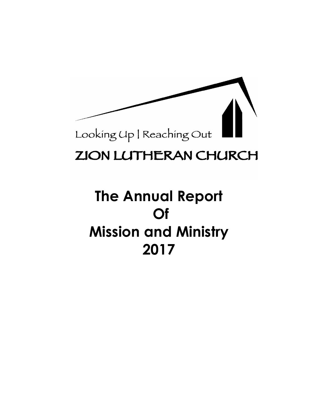

# **ZION LUTHERAN CHURCH**

# **The Annual Report Of Mission and Ministry 2017**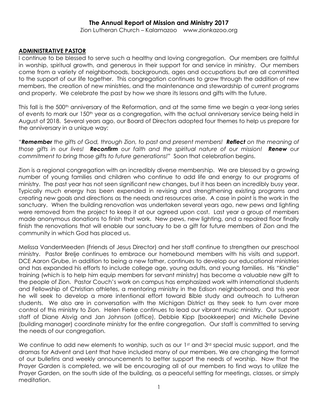# **The Annual Report of Mission and Ministry 2017**

Zion Lutheran Church – Kalamazoo www.zionkazoo.org

#### **ADMINISTRATIVE PASTOR**

I continue to be blessed to serve such a healthy and loving congregation. Our members are faithful in worship, spiritual growth, and generous in their support for and service in ministry. Our members come from a variety of neighborhoods, backgrounds, ages and occupations but are all committed to the support of our life together. This congregation continues to grow through the addition of new members, the creation of new ministries, and the maintenance and stewardship of current programs and property. We celebrate the past by how we share its lessons and gifts with the future.

This fall is the 500<sup>th</sup> anniversary of the Reformation, and at the same time we begin a year-long series of events to mark our 150<sup>th</sup> year as a congregation, with the actual anniversary service being held in August of 2018. Several years ago, our Board of Directors adopted four themes to help us prepare for the anniversary in a unique way:

"*Remember the gifts of God, through Zion, to past and present members! Reflect on the meaning of those gifts in our lives! Reconfirm our faith and the spiritual nature of our mission! Renew our commitment to bring those gifts to future generations!"* Soon that celebration begins.

Zion is a regional congregation with an incredibly diverse membership. We are blessed by a growing number of young families and children who continue to add life and energy to our programs of ministry. The past year has not seen significant new changes, but it has been an incredibly busy year. Typically much energy has been expended in revising and strengthening existing programs and creating new goals and directions as the needs and resources arise. A case in point is the work in the sanctuary. When the building renovation was undertaken several years ago, new pews and lighting were removed from the project to keep it at our agreed upon cost. Last year a group of members made anonymous donations to finish that work. New pews, new lighting, and a repaired floor finally finish the renovations that will enable our sanctuary to be a gift for future members of Zion and the community in which God has placed us.

Melissa VanderMeeden (Friends of Jesus Director) and her staff continue to strengthen our preschool ministry. Pastor Brelje continues to embrace our homebound members with his visits and support. DCE Aaron Grube, in addition to being a new father, continues to develop our educational ministries and has expanded his efforts to include college age, young adults, and young families. His "Kindle" training (which is to help him equip members for servant ministry) has become a valuable new gift to the people of Zion. Pastor Couch's work on campus has emphasized work with international students and Fellowship of Christian athletes, a mentoring ministry in the Edison neighborhood, and this year he will seek to develop a more intentional effort toward Bible study and outreach to Lutheran students. We also are in conversation with the Michigan District as they seek to turn over more control of this ministry to Zion. Helen Fierke continues to lead our vibrant music ministry. Our support staff of Diane Alsvig and Jan Johnson (office), Debbie Kipp (bookkeeper) and Michelle Devine (building manager) coordinate ministry for the entire congregation. Our staff is committed to serving the needs of our congregation.

We continue to add new elements to worship, such as our  $1<sup>st</sup>$  and  $3<sup>rd</sup>$  special music support, and the dramas for Advent and Lent that have included many of our members. We are changing the format of our bulletins and weekly announcements to better support the needs of worship. Now that the Prayer Garden is completed, we will be encouraging all of our members to find ways to utilize the Prayer Garden, on the south side of the building, as a peaceful setting for meetings, classes, or simply meditation.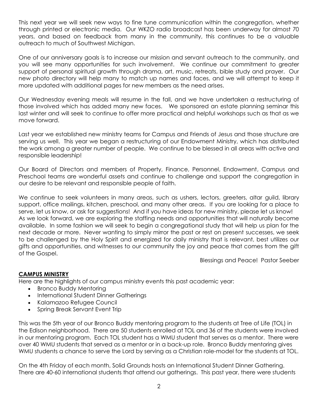This next year we will seek new ways to fine tune communication within the congregation, whether through printed or electronic media. Our WKZO radio broadcast has been underway for almost 70 years, and based on feedback from many in the community, this continues to be a valuable outreach to much of Southwest Michigan.

One of our anniversary goals is to increase our mission and servant outreach to the community, and you will see many opportunities for such involvement. We continue our commitment to greater support of personal spiritual growth through drama, art, music, retreats, bible study and prayer. Our new photo directory will help many to match up names and faces, and we will attempt to keep it more updated with additional pages for new members as the need arises.

Our Wednesday evening meals will resume in the fall, and we have undertaken a restructuring of those involved which has added many new faces. We sponsored an estate planning seminar this last winter and will seek to continue to offer more practical and helpful workshops such as that as we move forward.

Last year we established new ministry teams for Campus and Friends of Jesus and those structure are serving us well. This year we began a restructuring of our Endowment Ministry, which has distributed the work among a greater number of people. We continue to be blessed in all areas with active and responsible leadership!

Our Board of Directors and members of Property, Finance, Personnel, Endowment, Campus and Preschool teams are wonderful assets and continue to challenge and support the congregation in our desire to be relevant and responsible people of faith.

We continue to seek volunteers in many areas, such as ushers, lectors, greeters, altar guild, library support, office mailings, kitchen, preschool, and many other areas. If you are looking for a place to serve, let us know, or ask for suggestions! And if you have ideas for new ministry, please let us know! As we look forward, we are exploring the staffing needs and opportunities that will naturally become available. In some fashion we will seek to begin a congregational study that will help us plan for the next decade or more. Never wanting to simply mirror the past or rest on present successes, we seek to be challenged by the Holy Spirit and energized for daily ministry that is relevant, best utilizes our gifts and opportunities, and witnesses to our community the joy and peace that comes from the gift of the Gospel.

Blessings and Peace! Pastor Seeber

#### **CAMPUS MINISTRY**

Here are the highlights of our campus ministry events this past academic year:

- Bronco Buddy Mentoring
- International Student Dinner Gatherings
- Kalamazoo Refugee Council
- Spring Break Servant Event Trip

This was the 5th year of our Bronco Buddy mentoring program to the students at Tree of Life (TOL) in the Edison neighborhood. There are 50 students enrolled at TOL and 36 of the students were involved in our mentoring program. Each TOL student has a WMU student that serves as a mentor. There were over 40 WMU students that served as a mentor or in a back-up role. Bronco Buddy mentoring gives WMU students a chance to serve the Lord by serving as a Christian role-model for the students at TOL.

On the 4th Friday of each month, Solid Grounds hosts an International Student Dinner Gathering. There are 40-60 international students that attend our gatherings. This past year, there were students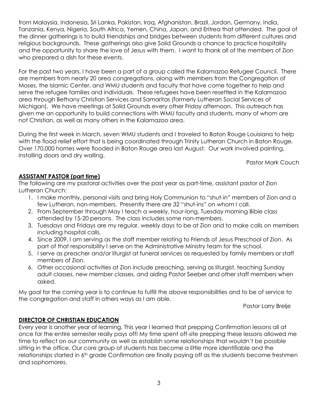from Malaysia, Indonesia, Sri Lanka, Pakistan, Iraq, Afghanistan, Brazil, Jordan, Germany, India, Tanzania, Kenya, Nigeria, South Africa, Yemen, China, Japan, and Eritrea that attended. The goal of the dinner gatherings is to build friendships and bridges between students from different cultures and religious backgrounds. These gatherings also give Solid Grounds a chance to practice hospitality and the opportunity to share the love of Jesus with them. I want to thank all of the members of Zion who prepared a dish for these events.

For the past two years, I have been a part of a group called the Kalamazoo Refugee Council. There are members from nearly 20 area congregations, along with members from the Congregation of Moses, the Islamic Center, and WMU students and faculty that have come together to help and serve the refugee families and individuals. These refugees have been resettled in the Kalamazoo area through Bethany Christian Services and Samaritas (formerly Lutheran Social Services of Michigan). We have meetings at Solid Grounds every other Friday afternoon. This outreach has given me an opportunity to build connections with WMU faculty and students, many of whom are not Christian, as well as many others in the Kalamazoo area.

During the first week in March, seven WMU students and I traveled to Baton Rouge Louisiana to help with the flood relief effort that is being coordinated through Trinity Lutheran Church in Baton Rouge. Over 170,000 homes were flooded in Baton Rouge area last August. Our work involved painting, installing doors and dry walling.

Pastor Mark Couch

# **ASSISTANT PASTOR (part time)**

The following are my pastoral activities over the past year as part-time, assistant pastor of Zion Lutheran Church:

- 1. I make monthly, personal visits and bring Holy Communion to "shut-in" members of Zion and a few Lutheran, non-members. Presently there are 32 "shut-ins" on whom I call.
- 2. From September through May I teach a weekly, hour-long, Tuesday morning Bible class attended by 15-20 persons. The class includes some non-members.
- 3. Tuesdays and Fridays are my regular, weekly days to be at Zion and to make calls on members including hospital calls.
- 4. Since 2009, I am serving as the staff member relating to Friends of Jesus Preschool of Zion. As part of that responsibility I serve on the Administrative Ministry team for the school.
- 5. I serve as preacher and/or liturgist at funeral services as requested by family members or staff members of Zion.
- 6. Other occasional activities at Zion include preaching, serving as liturgist, teaching Sunday adult classes, new member classes, and aiding Pastor Seeber and other staff members when asked.

My goal for the coming year is to continue to fulfill the above responsibilities and to be of service to the congregation and staff in others ways as I am able.

Pastor Larry Brelje

# **DIRECTOR OF CHRISTIAN EDUCATION**

Every year is another year of learning. This year I learned that prepping Confirmation lessons all at once for the entire semester really pays off! My time spent off-site prepping these lessons allowed me time to reflect on our community as well as establish some relationships that wouldn't be possible sitting in the office. Our core group of students has become a little more identifiable and the relationships started in 6<sup>th</sup> grade Confirmation are finally paying off as the students become freshmen and sophomores.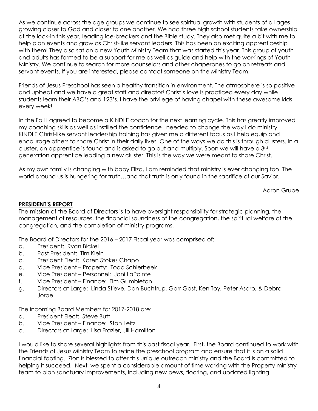As we continue across the age groups we continue to see spiritual growth with students of all ages growing closer to God and closer to one another. We had three high school students take ownership at the lock-in this year, leading ice-breakers and the Bible study. They also met quite a bit with me to help plan events and grow as Christ-like servant leaders. This has been an exciting apprenticeship with them! They also sat on a new Youth Ministry Team that was started this year. This group of youth and adults has formed to be a support for me as well as guide and help with the workings of Youth Ministry. We continue to search for more counselors and other chaperones to go on retreats and servant events. If you are interested, please contact someone on the Ministry Team.

Friends of Jesus Preschool has seen a healthy transition in environment. The atmosphere is so positive and upbeat and we have a great staff and director! Christ's love is practiced every day while students learn their ABC's and 123's. I have the privilege of having chapel with these awesome kids every week!

In the Fall I agreed to become a KINDLE coach for the next learning cycle. This has greatly improved my coaching skills as well as instilled the confidence I needed to change the way I do ministry. KINDLE Christ-like servant leadership training has given me a different focus as I help equip and encourage others to share Christ in their daily lives. One of the ways we do this is through clusters. In a cluster, an apprentice is found and is asked to go out and multiply. Soon we will have a 3rd generation apprentice leading a new cluster. This is the way we were meant to share Christ.

As my own family is changing with baby Eliza, I am reminded that ministry is ever changing too. The world around us is hungering for truth…and that truth is only found in the sacrifice of our Savior.

Aaron Grube

#### **PRESIDENT'S REPORT**

The mission of the Board of Directors is to have oversight responsibility for strategic planning, the management of resources, the financial soundness of the congregation, the spiritual welfare of the congregation, and the completion of ministry programs.

The Board of Directors for the 2016 – 2017 Fiscal year was comprised of:

- a. President: Ryan Bickel
- b. Past President: Tim Klein
- c. President Elect: Karen Stokes Chapo
- d. Vice President Property: Todd Schierbeek
- e. Vice President Personnel: Joni LaPointe
- f. Vice President Finance: Tim Gumbleton
- g. Directors at Large: Linda Stieve, Dan Buchtrup, Garr Gast, Ken Toy, Peter Asaro, & Debra Jorae

The incoming Board Members for 2017-2018 are:

- a. President Elect: Steve Butt
- b. Vice President Finance: Stan Leitz
- c. Directors at Large: Lisa Frazier, Jill Hamilton

I would like to share several highlights from this past fiscal year. First, the Board continued to work with the Friends of Jesus Ministry Team to refine the preschool program and ensure that it is on a solid financial footing. Zion is blessed to offer this unique outreach ministry and the Board is committed to helping it succeed. Next, we spent a considerable amount of time working with the Property ministry team to plan sanctuary improvements, including new pews, flooring, and updated lighting. I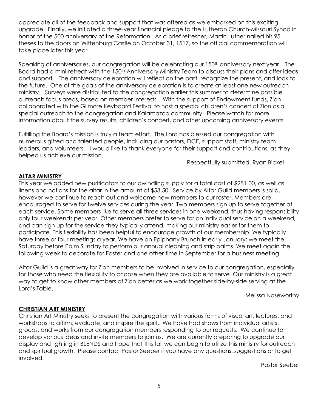appreciate all of the feedback and support that was offered as we embarked on this exciting upgrade. Finally, we initiated a three-year financial pledge to the Lutheran Church-Missouri Synod in honor of the 500 anniversary of the Reformation. As a brief refresher, Martin Luther nailed his 95 theses to the doors on Wittenburg Castle on October 31, 1517, so the official commemoration will take place later this year.

Speaking of anniversaries, our congregation will be celebrating our 150<sup>th</sup> anniversary next year. The Board had a mini-retreat with the 150<sup>th</sup> Anniversary Ministry Team to discuss their plans and offer ideas and support. The anniversary celebration will reflect on the past, recognize the present, and look to the future. One of the goals of the anniversary celebration is to create at least one new outreach ministry. Surveys were distributed to the congregation earlier this summer to determine possible outreach focus areas, based on member interests. With the support of Endowment funds, Zion collaborated with the Gilmore Keyboard Festival to host a special children's concert at Zion as a special outreach to the congregation and Kalamazoo community. Please watch for more information about the survey results, children's concert, and other upcoming anniversary events.

Fulfilling the Board's mission is truly a team effort. The Lord has blessed our congregation with numerous gifted and talented people, including our pastors, DCE, support staff, ministry team leaders, and volunteers. I would like to thank everyone for their support and contributions, as they helped us achieve our mission.

Respectfully submitted, Ryan Bickel

#### **ALTAR MINISTRY**

This year we added new purificators to our dwindling supply for a total cost of \$281.00, as well as linens and notions for the altar in the amount of \$53.50. Service by Altar Guild members is solid, however we continue to reach out and welcome new members to our roster. Members are encouraged to serve for twelve services during the year. Two members sign up to serve together at each service. Some members like to serve all three services in one weekend, thus having responsibility only four weekends per year. Other members prefer to serve for an individual service on a weekend, and can sign up for the service they typically attend, making our ministry easier for them to participate. This flexibility has been helpful to encourage growth of our membership. We typically have three or four meetings a year. We have an Epiphany Brunch in early January; we meet the Saturday before Palm Sunday to perform our annual cleaning and strip palms. We meet again the following week to decorate for Easter and one other time in September for a business meeting.

Altar Guild is a great way for Zion members to be involved in service to our congregation, especially for those who need the flexibility to choose when they are available to serve. Our ministry is a great way to get to know other members of Zion better as we work together side-by-side serving at the Lord's Table.

Melissa Noseworthy

#### **CHRISTIAN ART MINISTRY**

Christian Art Ministry seeks to present the congregation with various forms of visual art, lectures, and workshops to affirm, evaluate, and inspire the spirit. We have had shows from individual artists, groups, and works from our congregation members responding to our requests. We continue to develop various ideas and invite members to join us. We are currently preparing to upgrade our display and lighting in BLENDS and hope that this fall we can begin to utilize this ministry for outreach and spiritual growth. Please contact Pastor Seeber if you have any questions, suggestions or to get involved.

Pastor Seeber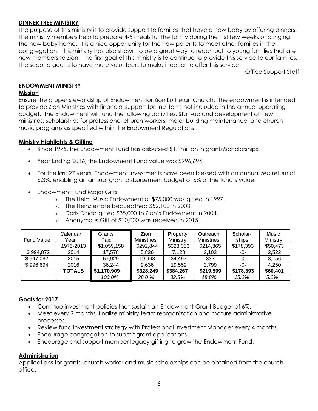# **DINNER TREE MINISTRY**

The purpose of this ministry is to provide support to families that have a new baby by offering dinners. The ministry members help to prepare 4-5 meals for the family during the first few weeks of bringing the new baby home. It is a nice opportunity for the new parents to meet other families in the congregation. This ministry has also shown to be a great way to reach out to young families that are new members to Zion. The first goal of this ministry is to continue to provide this service to our families. The second goal is to have more volunteers to make it easier to offer this service.

Office Support Staff

#### **ENDOWMENT MINISTRY**

#### **Mission**

Ensure the proper stewardship of Endowment for Zion Lutheran Church. The endowment is intended to provide Zion Ministries with financial support for line items not included in the annual operating budget. The Endowment will fund the following activities: Start-up and development of new ministries, scholarships for professional church workers, major building maintenance, and church music programs as specified within the Endowment Regulations.

#### **Ministry Highlights & Gifting**

- Since 1975, the Endowment Fund has disbursed \$1.1 million in grants/scholarships.
- Year Ending 2016, the Endowment Fund value was \$996,694.
- For the last 27 years, Endowment Investments have been blessed with an annualized return of 6.3%, enabling an annual grant disbursement budget of 6% of the fund's value.
- Endowment Fund Major Gifts
	- o The Helm Music Endowment of \$75,000 was gifted in 1997.
	- o The Heinz estate bequeathed \$52,100 in 2003.
	- o Doris Dinda gifted \$35,000 to Zion's Endowment in 2004.
	- o Anonymous Gift of \$10,000 was received in 2015.

|                   | Calendar      | Grants      | Zion              | <b>Property</b> | <b>Outreach</b>   | Scholar-  | <b>Music</b> |
|-------------------|---------------|-------------|-------------------|-----------------|-------------------|-----------|--------------|
| <b>Fund Value</b> | Year          | Paid        | <b>Ministries</b> | Ministry        | <b>Ministries</b> | ships     | Ministry     |
|                   | 1975-2013     | \$1,059,158 | \$292,844         | \$323,083       | \$214,365         | \$178,393 | \$50,473     |
| \$994,872         | 2014          | 17.578      | 5.826             | 7,128           | 2,102             | -0-       | 2,522        |
| \$947,082         | 2015          | 57,929      | 19.943            | 34,497          | 333               | -0-       | 3,156        |
| \$996,694         | 2016          | 36,244      | 9.636             | 19.559          | 2.799             | -0-       | 4.250        |
|                   | <b>TOTALS</b> | \$1,170,909 | \$328,249         | \$384,267       | \$219,599         | \$178,393 | \$60,401     |
|                   |               | 100.0%      | 28.0%             | 32.8%           | 18.8%             | 15.2%     | 5.2%         |

#### **Goals for 2017**

- Continue investment policies that sustain an Endowment Grant Budget of 6%.
- Meet every 2 months, finalize ministry team reorganization and mature administrative processes.
- Review fund investment strategy with Professional Investment Manager every 4 months.
- Encourage congregation to submit grant applications.
- Encourage and support member legacy gifting to grow the Endowment Fund.

#### **Administration**

Applications for grants, church worker and music scholarships can be obtained from the church office.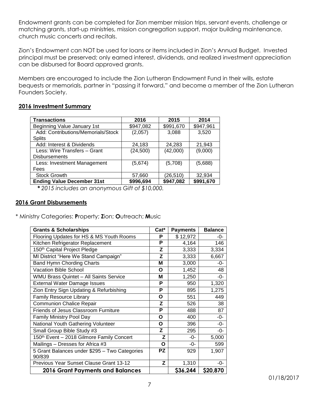Endowment grants can be completed for Zion member mission trips, servant events, challenge or matching grants, start-up ministries, mission congregation support, major building maintenance, church music concerts and recitals.

Zion's Endowment can NOT be used for loans or items included in Zion's Annual Budget. Invested principal must be preserved; only earned interest, dividends, and realized investment appreciation can be disbursed for Board approved grants.

Members are encouraged to include the Zion Lutheran Endowment Fund in their wills, estate bequests or memorials, partner in "passing it forward," and become a member of the Zion Lutheran Founders Society.

#### **2016 Investment Summary**

| <b>Transactions</b>                | 2016      | 2015      | 2014      |
|------------------------------------|-----------|-----------|-----------|
| Beginning Value January 1st        | \$947,082 | \$991,670 | \$947,961 |
| Add: Contributions/Memorials/Stock | (2,057)   | 3,088     | 3,520     |
| <b>Splits</b>                      |           |           |           |
| Add: Interest & Dividends          | 24,183    | 24,283    | 21,943    |
| Less: Wire Transfers - Grant       | (24, 500) | (42,000)  | (9,000)   |
| <b>Disbursements</b>               |           |           |           |
| Less: Investment Management        | (5,674)   | (5,708)   | (5,688)   |
| Fees                               |           |           |           |
| <b>Stock Growth</b>                | 57,660    | (26, 510) | 32,934    |
| <b>Ending Value December 31st</b>  | \$996,694 | \$947,082 | \$991,670 |

*\* 2015 includes an anonymous Gift of \$10,000.*

#### **2016 Grant Disbursements**

\* Ministry Categories: **P**roperty; **Z**ion; **O**utreach; **M**usic

| <b>Grants &amp; Scholarships</b>               | Cat*      | <b>Payments</b> | <b>Balance</b> |
|------------------------------------------------|-----------|-----------------|----------------|
| Flooring Updates for HS & MS Youth Rooms       | Р         | \$12,972        | -0-            |
| Kitchen Refrigerator Replacement               | P         | 4,164           | 146            |
| 150 <sup>th</sup> Capital Project Pledge       | Z         | 3,333           | 3,334          |
| MI District "Here We Stand Campaign"           | Z         | 3,333           | 6,667          |
| Band Hymn Chording Charts                      | М         | 3,000           | -0-            |
| <b>Vacation Bible School</b>                   | O         | 1,452           | 48             |
| WMU Brass Quintet - All Saints Service         | М         | 1,250           | -0-            |
| <b>External Water Damage Issues</b>            | P         | 950             | 1,320          |
| Zion Entry Sign Updating & Refurbishing        | P         | 895             | 1,275          |
| <b>Family Resource Library</b>                 | O         | 551             | 449            |
| <b>Communion Chalice Repair</b>                | Z         | 526             | 38             |
| <b>Friends of Jesus Classroom Furniture</b>    | P         | 488             | 87             |
| Family Ministry Pool Day                       | O         | 400             | $-0-$          |
| National Youth Gathering Volunteer             | Ο         | 396             | -0-            |
| Small Group Bible Study #3                     | Z         | 295             | -0-            |
| 150th Event - 2018 Gilmore Family Concert      | z         | $-0-$           | 5,000          |
| Mailings - Dresses for Africa #3               | Ο         | -0-             | 599            |
| 5 Grant Balances under \$295 - Two Categories  | <b>PZ</b> | 929             | 1,907          |
| 90/839                                         |           |                 |                |
| <b>Previous Year Sunset Clause Grant 13-12</b> | Z         | 1,310           | -0-            |
| <b>2016 Grant Payments and Balances</b>        |           | \$36,244        | \$20,870       |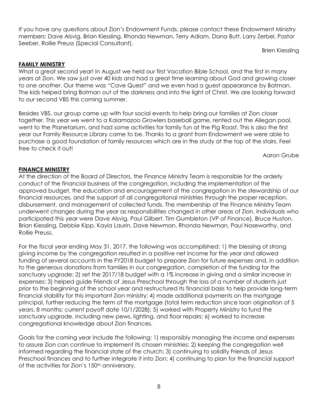If you have any questions about Zion's Endowment Funds, please contact these Endowment Ministry members: Dave Alsvig, Brian Kiessling, Rhonda Newman, Terry Adlam, Dana Butt, Larry Zerbel, Pastor Seeber, Rollie Preuss (Special Consultant).

Brien Kiessling

#### **FAMILY MINISTRY**

What a great second year! In August we held our first Vacation Bible School, and the first in many years at Zion. We saw just over 40 kids and had a great time learning about God and growing closer to one another. Our theme was "Cave Quest" and we even had a guest appearance by Batman. The kids helped bring Batman out of the darkness and into the light of Christ. We are looking forward to our second VBS this coming summer.

Besides VBS, our group came up with four social events to help bring our families at Zion closer together. This year we went to a Kalamazoo Growlers baseball game, rented out the Allegan pool, went to the Planetarium, and had some activities for family fun at the Pig Roast. This is also the first year our Family Resource Library came to be. Thanks to a grant from Endowment we were able to purchase a good foundation of family resources which are in the study at the top of the stairs. Feel free to check it out!

Aaron Grube

#### **FINANCE MINISTRY**

At the direction of the Board of Directors, the Finance Ministry Team is responsible for the orderly conduct of the financial business of the congregation, including the implementation of the approved budget, the education and encouragement of the congregation in the stewardship of our financial resources, and the support of all congregational ministries through the proper reception, disbursement, and management of collected funds. The membership of the Finance Ministry Team underwent changes during the year as responsibilities changed in other areas of Zion. Individuals who participated this year were Dave Alsvig, Paul Gilbert, Tim Gumbleton (VP of Finance), Bruce Huston, Brian Kiessling, Debbie Kipp, Kayla Laurin, Dave Newman, Rhonda Newman, Paul Noseworthy, and Rollie Preuss.

For the fiscal year ending May 31, 2017, the following was accomplished: 1) the blessing of strong giving income by the congregation resulted in a positive net income for the year and allowed funding of several accounts in the FY2018 budget to prepare Zion for future expenses and, in addition to the generous donations from families in our congregation, completion of the funding for the sanctuary upgrade; 2) set the 2017/18 budget with a 1% increase in giving and a similar increase in expenses; 3) helped guide Friends of Jesus Preschool through the loss of a number of students just prior to the beginning of the school year and restructured its financial basis to help provide long-term financial stability for this important Zion ministry; 4) made additional payments on the mortgage principal, further reducing the term of the mortgage (total term reduction since loan origination of 5 years, 8 months; current payoff date 10/1/2028); 5) worked with Property Ministry to fund the sanctuary upgrade, including new pews, lighting, and floor repairs; 6) worked to increase congregational knowledge about Zion finances.

Goals for the coming year include the following: 1) responsibly managing the income and expenses to assure Zion can continue to implement its chosen ministries; 2) keeping the congregation well informed regarding the financial state of the church; 3) continuing to solidify Friends of Jesus Preschool finances and to further integrate it into Zion; 4) continuing to plan for the financial support of the activities for Zion's 150<sup>th</sup> anniversary.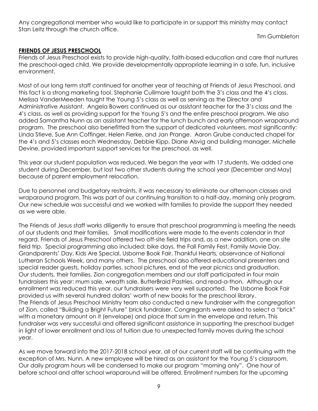Any congregational member who would like to participate in or support this ministry may contact Stan Leitz through the church office.

Tim Gumbleton

# **FRIENDS OF JESUS PRESCHOOL**

Friends of Jesus Preschool exists to provide high-quality, faith-based education and care that nurtures the preschool-aged child. We provide developmentally appropriate learning in a safe, fun, inclusive environment.

Most of our long term staff continued for another year of teaching at Friends of Jesus Preschool, and this fact is a strong marketing tool. Stephanie Cullimore taught both the 3's class and the 4's class. Melissa VanderMeeden taught the Young 5's class as well as serving as the Director and Administrative Assistant. Angela Bowers continued as our assistant teacher for the 3's class and the 4's class, as well as providing support for the Young 5's and the entire preschool program. We also added Samantha Nunn as an assistant teacher for the lunch bunch and early afternoon wraparound program. The preschool also benefitted from the support of dedicated volunteers, most significantly: Linda Stieve, Sue Ann Coffinger, Helen Fierke, and Jan Prange. Aaron Grube conducted chapel for the 4's and 5's classes each Wednesday. Debbie Kipp, Diane Alsvig and building manager, Michelle Devine, provided important support services for the preschool, as well.

This year our student population was reduced. We began the year with 17 students. We added one student during December, but lost two other students during the school year (December and May) because of parent employment relocation.

Due to personnel and budgetary restraints, it was necessary to eliminate our afternoon classes and wraparound program. This was part of our continuing transition to a half-day, morning only program. Our new schedule was successful and we worked with families to provide the support they needed as we were able.

The Friends of Jesus staff works diligently to ensure that preschool programming is meeting the needs of our students and their families. Small modifications were made to the events calendar in that regard. Friends of Jesus Preschool offered two off-site field trips and, as a new addition, one on site field trip. Special programming also included: bike days, the Fall Family Fest, Family Movie Day, Grandparents' Day, Kids Are Special, Usborne Book Fair, Thankful Hearts, observance of National Lutheran Schools Week, and many others. The preschool also offered educational presenters and special reader guests, holiday parties, school pictures, end of the year picnics and graduation. Our students, their families, Zion congregation members and our staff participated in four main fundraisers this year: mum sale, wreath sale, ButterBraid Pastries, and read-a-thon. Although our enrollment was reduced this year, our fundraisers were very well supported. The Usborne Book Fair provided us with several hundred dollars' worth of new books for the preschool library. The Friends of Jesus Preschool Ministry team also conducted a new fundraiser with the congregation of Zion, called "Building a Bright Future" brick fundraiser. Congregants were asked to select a "brick" with a monetary amount on it (envelope) and place that sum in the envelope and return. This fundraiser was very successful and offered significant assistance in supporting the preschool budget in light of lower enrollment and loss of tuition due to unexpected family moves during the school year.

As we move forward into the 2017-2018 school year, all of our current staff will be continuing with the exception of Mrs. Nunn. A new employee will be hired as an assistant for the Young 5's classroom. Our daily program hours will be condensed to make our program "morning only". One hour of before school and after school wraparound will be offered. Enrollment numbers for the upcoming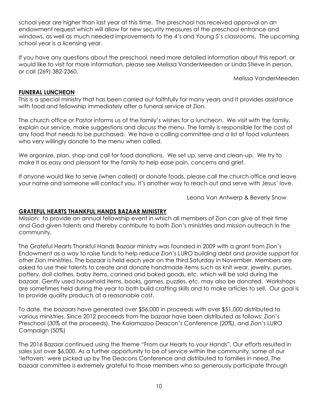school year are higher than last year at this time. The preschool has received approval on an endowment request which will allow for new security measures at the preschool entrance and windows, as well as much needed improvements to the 4's and Young 5's classrooms. The upcoming school year is a licensing year.

If you have any questions about the preschool, need more detailed information about this report, or would like to visit for more information, please see Melissa VanderMeeden or Linda Stieve in person, or call (269) 382-2360.

Melissa VanderMeeden

#### **FUNERAL LUNCHEON**

This is a special ministry that has been carried out faithfully for many years and it provides assistance with food and fellowship immediately after a funeral service at Zion.

The church office or Pastor informs us of the family's wishes for a luncheon. We visit with the family, explain our service, make suggestions and discuss the menu. The family is responsible for the cost of any food that needs to be purchased. We have a calling committee and a list of food volunteers who very willingly donate to the menu when called.

We organize, plan, shop and call for food donations. We set up, serve and clean-up. We try to make it as easy and pleasant for the family to help ease pain, concerns and grief.

If anyone would like to serve (when called) or donate foods, please call the church office and leave your name and someone will contact you. It's another way to reach out and serve with Jesus' love.

Leona Van Antwerp & Beverly Snow

#### **GRATEFUL HEARTS THANKFUL HANDS BAZAAR MINISTRY**

Mission: to provide an annual fellowship event in which all members of Zion can give of their time and God-given talents and thereby contribute to both Zion's ministries and mission outreach in the community.

The Grateful Hearts Thankful Hands Bazaar ministry was founded in 2009 with a grant from Zion's Endowment as a way to raise funds to help reduce Zion's LURO building debt and provide support for other Zion ministries. The bazaar is held each year on the third Saturday in November. Members are asked to use their talents to create and donate handmade items such as knit wear, jewelry, purses, pottery, doll clothes, baby items, canned and baked goods, etc. which will be sold during the bazaar. Gently used household items, books, games, puzzles, etc. may also be donated. Workshops are sometimes held during the year to both build crafting skills and to make articles to sell. Our goal is to provide quality products at a reasonable cost.

To date, the bazaars have generated over \$56,000 in proceeds with over \$51,000 distributed to various ministries. Since 2012 proceeds from the bazaar have been distributed as follows: Zion's Preschool (30% of the proceeds), The Kalamazoo Deacon's Conference (20%), and Zion's LURO Campaign (50%)

The 2016 Bazaar continued using the theme "From our Hearts to your Hands". Our efforts resulted in sales just over \$6,000. As a further opportunity to be of service within the community, some of our 'leftovers' were picked up by The Deacons Conference and distributed to families in need. The bazaar committee is extremely grateful to those members who so generously participate through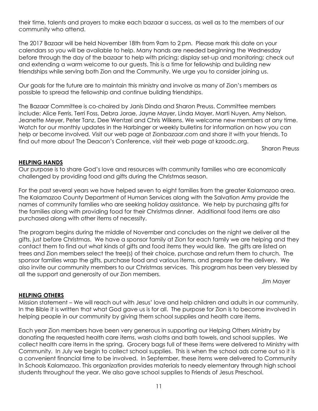their time, talents and prayers to make each bazaar a success, as well as to the members of our community who attend.

The 2017 Bazaar will be held November 18th from 9am to 2 pm. Please mark this date on your calendars so you will be available to help. Many hands are needed beginning the Wednesday before through the day of the bazaar to help with pricing; display set-up and monitoring; check out and extending a warm welcome to our guests. This is a time for fellowship and building new friendships while serving both Zion and the Community. We urge you to consider joining us.

Our goals for the future are to maintain this ministry and involve as many of Zion's members as possible to spread the fellowship and continue building friendships.

The Bazaar Committee is co-chaired by Janis Dinda and Sharon Preuss. Committee members include: Alice Ferris, Terri Foss, Debra Jorae, Jayne Mayer, Linda Mayer, Marti Nuyen, Amy Nelson, Jeanette Meyer, Peter Tanz, Dee Wentzel and Chris Wilkens. We welcome new members at any time. Watch for our monthly updates in the Harbinger or weekly bulletins for information on how you can help or become involved. Visit our web page at Zionbazaar.com and share it with your friends. To find out more about The Deacon's Conference, visit their web page at kzoodc.org.

Sharon Preuss

#### **HELPING HANDS**

Our purpose is to share God's love and resources with community families who are economically challenged by providing food and gifts during the Christmas season.

For the past several years we have helped seven to eight families from the greater Kalamazoo area. The Kalamazoo County Department of Human Services along with the Salvation Army provide the names of community families who are seeking holiday assistance. We help by purchasing gifts for the families along with providing food for their Christmas dinner. Additional food items are also purchased along with other items of necessity.

The program begins during the middle of November and concludes on the night we deliver all the gifts, just before Christmas. We have a sponsor family at Zion for each family we are helping and they contact them to find out what kinds of gifts and food items they would like. The gifts are listed on trees and Zion members select the tree(s) of their choice, purchase and return them to church. The sponsor families wrap the gifts, purchase food and various items, and prepare for the delivery. We also invite our community members to our Christmas services. This program has been very blessed by all the support and generosity of our Zion members.

Jim Mayer

#### **HELPING OTHERS**

Mission statement – We will reach out with Jesus' love and help children and adults in our community. In the Bible it is written that what God gave us is for all. The purpose for Zion is to become involved in helping people in our community by giving them school supplies and health care items.

Each year Zion members have been very generous in supporting our Helping Others Ministry by donating the requested health care items, wash cloths and bath towels, and school supplies. We collect health care items in the spring. Grocery bags full of these items were delivered to Ministry with Community. In July we begin to collect school supplies. This is when the school ads come out so it is a convenient financial time to be involved. In September, these items were delivered to Community In Schools Kalamazoo. This organization provides materials to needy elementary through high school students throughout the year. We also gave school supplies to Friends of Jesus Preschool.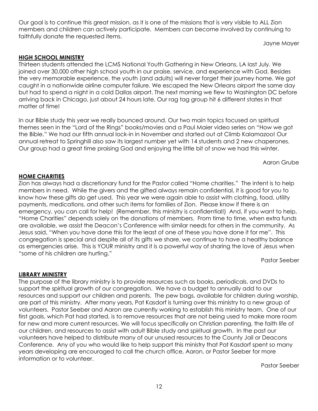Our goal is to continue this great mission, as it is one of the missions that is very visible to ALL Zion members and children can actively participate. Members can become involved by continuing to faithfully donate the requested items.

Jayne Mayer

#### **HIGH SCHOOL MINISTRY**

Thirteen students attended the LCMS National Youth Gathering in New Orleans, LA last July. We joined over 30,000 other high school youth in our praise, service, and experience with God. Besides the very memorable experience, the youth (and adults) will never forget their journey home. We got caught in a nationwide airline computer failure. We escaped the New Orleans airport the same day but had to spend a night in a cold Dallas airport. The next morning we flew to Washington DC before arriving back in Chicago, just about 24 hours late. Our rag tag group hit 6 different states in that matter of time!

In our Bible study this year we really bounced around. Our two main topics focused on spiritual themes seen in the "Lord of the Rings" books/movies and a Paul Maier video series on "How we got the Bible." We had our fifth annual lock-in in November and started out at Climb Kalamazoo! Our annual retreat to Springhill also saw its largest number yet with 14 students and 2 new chaperones. Our group had a great time praising God and enjoying the little bit of snow we had this winter.

Aaron Grube

#### **HOME CHARITIES**

Zion has always had a discretionary fund for the Pastor called "Home charities." The intent is to help members in need. While the givers and the gifted always remain confidential, it is good for you to know how these gifts do get used. This year we were again able to assist with clothing, food, utility payments, medications, and other such items for families of Zion. Please know if there is an emergency, you can call for help! (Remember, this ministry is confidential!) And, if you want to help, "Home Charities" depends solely on the donations of members. From time to time, when extra funds are available, we assist the Deacon's Conference with similar needs for others in the community. As Jesus said, "When you have done this for the least of one of these you have done it for me". This congregation is special and despite all of its gifts we share, we continue to have a healthy balance as emergencies arise. This is YOUR ministry and it is a powerful way of sharing the love of Jesus when "some of his children are hurting."

Pastor Seeber

#### **LIBRARY MINISTRY**

The purpose of the library ministry is to provide resources such as books, periodicals, and DVDs to support the spiritual growth of our congregation. We have a budget to annually add to our resources and support our children and parents. The pew bags, available for children during worship, are part of this ministry. After many years, Pat Kasdorf is turning over this ministry to a new group of volunteers. Pastor Seeber and Aaron are currently working to establish this ministry team. One of our first goals, which Pat had started, is to remove resources that are not being used to make more room for new and more current resources. We will focus specifically on Christian parenting, the faith life of our children, and resources to assist with adult Bible study and spiritual growth. In the past our volunteers have helped to distribute many of our unused resources to the County Jail or Deacons Conference. Any of you who would like to help support this ministry that Pat Kasdorf spent so many years developing are encouraged to call the church office, Aaron, or Pastor Seeber for more information or to volunteer.

Pastor Seeber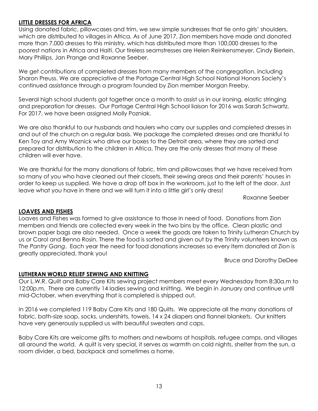#### **LITTLE DRESSES FOR AFRICA**

Using donated fabric, pillowcases and trim, we sew simple sundresses that tie onto girls' shoulders, which are distributed to villages in Africa. As of June 2017, Zion members have made and donated more than 7,000 dresses to this ministry, which has distributed more than 100,000 dresses to the poorest nations in Africa and Haiti. Our tireless seamstresses are Helen Reinkensmeyer, Cindy Bierlein, Mary Phillips, Jan Prange and Roxanne Seeber.

We get contributions of completed dresses from many members of the congregation, including Sharon Preuss. We are appreciative of the Portage Central High School National Honors Society's continued assistance through a program founded by Zion member Morgan Freeby.

Several high school students got together once a month to assist us in our ironing, elastic stringing and preparation for dresses. Our Portage Central High School liaison for 2016 was Sarah Schwartz. For 2017, we have been assigned Molly Pozniak.

We are also thankful to our husbands and haulers who carry our supplies and completed dresses in and out of the church on a regular basis. We package the completed dresses and are thankful to Ken Toy and Amy Woznick who drive our boxes to the Detroit area, where they are sorted and prepared for distribution to the children in Africa. They are the only dresses that many of these children will ever have.

We are thankful for the many donations of fabric, trim and pillowcases that we have received from so many of you who have cleaned out their closets, their sewing areas and their parents' houses in order to keep us supplied. We have a drop off box in the workroom, just to the left of the door. Just leave what you have in there and we will turn it into a little girl's only dress!

Roxanne Seeber

#### **LOAVES AND FISHES**

Loaves and Fishes was formed to give assistance to those in need of food. Donations from Zion members and friends are collected every week in the two bins by the office. Clean plastic and brown paper bags are also needed. Once a week the goods are taken to Trinity Lutheran Church by us or Carol and Benno Rosin. There the food is sorted and given out by the Trinity volunteers known as *The Pantry Gang*. Each year the need for food donations increases so every item donated at Zion is greatly appreciated, thank you!

Bruce and Dorothy DeDee

#### **LUTHERAN WORLD RELIEF SEWING AND KNITTING**

Our L.W.R. Quilt and Baby Care Kits sewing project members meet every Wednesday from 8:30a.m to 12:00p.m. There are currently 14 ladies sewing and knitting. We begin in January and continue until mid-October, when everything that is completed is shipped out.

In 2016 we completed 119 Baby Care Kits and 180 Quilts. We appreciate all the many donations of fabric, bath-size soap, socks, undershirts, towels, 14 x 24 diapers and flannel blankets. Our knitters have very generously supplied us with beautiful sweaters and caps.

Baby Care Kits are welcome gifts to mothers and newborns at hospitals, refugee camps, and villages all around the world. A quilt is very special, it serves as warmth on cold nights, shelter from the sun, a room divider, a bed, backpack and sometimes a home.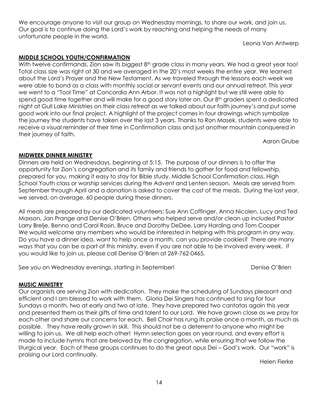We encourage anyone to visit our group on Wednesday mornings, to share our work, and join us. Our goal is to continue doing the Lord's work by reaching and helping the needs of many unfortunate people in the world.

Leona Van Antwerp

#### **MIDDLE SCHOOL YOUTH/CONFIRMATION**

With twelve confirmands, Zion saw its biggest 8<sup>th</sup> grade class in many years. We had a great year too! Total class size was right at 30 and we averaged in the 20's most weeks the entire year. We learned about the Lord's Prayer and the New Testament. As we traveled through the lessons each week we were able to bond as a class with monthly social or servant events and our annual retreat. This year we went to a "Tool Time" at Concordia Ann Arbor. It was not a highlight but we still were able to spend good time together and will make for a good story later on. Our 8<sup>th</sup> graders spent a dedicated night at Gull Lake Ministries on their class retreat as we talked about our faith journey's and put some good work into our final project. A highlight of the project comes in four drawings which symbolize the journey the students have taken over the last 3 years. Thanks to Ron Masek, students were able to receive a visual reminder of their time in Confirmation class and just another mountain conquered in their journey of faith.

Aaron Grube

#### **MIDWEEK DINNER MINISTRY**

Dinners are held on Wednesdays, beginning at 5:15. The purpose of our dinners is to offer the opportunity for Zion's congregation and its family and friends to gather for food and fellowship, prepared for you, making it easy to stay for Bible study, Middle School Confirmation class, High School Youth class or worship services during the Advent and Lenten season. Meals are served from September through April and a donation is asked to cover the cost of the meals. During the last year, we served, on average, 60 people during these dinners.

All meals are prepared by our dedicated volunteers: Sue Ann Coffinger, Anna Nicolen, Lucy and Ted Maxson, Jan Prange and Denise O'Brien. Others who helped serve and/or clean up included Pastor Larry Brelje, Benno and Carol Rosin, Bruce and Dorothy DeDee, Larry Harding and Tom Cooper We would welcome any members who would be interested in helping with this program in any way. Do you have a dinner idea, want to help once a month, can you provide cookies? There are many ways that you can be a part of this ministry, even if you are not able to be involved every week. If you would like to join us, please call Denise O'Brien at 269-762-0465.

See you on Wednesday evenings, starting in September! Denise O'Brien

#### **MUSIC MINISTRY**

Our organists are serving Zion with dedication. They make the scheduling of Sundays pleasant and efficient and I am blessed to work with them. Gloria Dei Singers has continued to sing for four Sundays a month, two at early and two at late. They have prepared two cantatas again this year and presented them as their gifts of time and talent to our Lord. We have grown close as we pray for each other and share our concerns for each. Bell Choir has rung its praise once a month, as much as possible. They have really grown in skill. This should not be a deterrent to anyone who might be willing to join us. We all help each other! Hymn selection goes on year round, and every effort is made to include hymns that are beloved by the congregation, while ensuring that we follow the liturgical year. Each of these groups continues to do the great opus Dei – God's work. Our "work" is praising our Lord continually.

Helen Fierke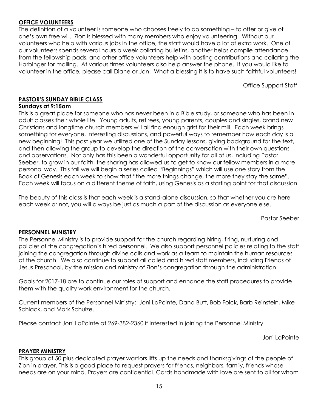# **OFFICE VOLUNTEERS**

The definition of a volunteer is someone who chooses freely to do something – to offer or give of one's own free will. Zion is blessed with many members who enjoy volunteering. Without our volunteers who help with various jobs in the office, the staff would have a lot of extra work. One of our volunteers spends several hours a week collating bulletins, another helps compile attendance from the fellowship pads, and other office volunteers help with posting contributions and collating the Harbinger for mailing. At various times volunteers also help answer the phone. If you would like to volunteer in the office, please call Diane or Jan. What a blessing it is to have such faithful volunteers!

Office Support Staff

# **PASTOR'S SUNDAY BIBLE CLASS**

#### **Sundays at 9:15am**

This is a great place for someone who has never been in a Bible study, or someone who has been in adult classes their whole life. Young adults, retirees, young parents, couples and singles, brand new Christians and longtime church members will all find enough grist for their mill. Each week brings something for everyone, interesting discussions, and powerful ways to remember how each day is a new beginning! This past year we utilized one of the Sunday lessons, giving background for the text, and then allowing the group to develop the direction of the conversation with their own questions and observations. Not only has this been a wonderful opportunity for all of us, including Pastor Seeber, to grow in our faith, the sharing has allowed us to get to know our fellow members in a more personal way. This fall we will begin a series called "Beginnings" which will use one story from the Book of Genesis each week to show that "the more things change, the more they stay the same". Each week will focus on a different theme of faith, using Genesis as a starting point for that discussion.

The beauty of this class is that each week is a stand-alone discussion, so that whether you are here each week or not, you will always be just as much a part of the discussion as everyone else.

Pastor Seeber

#### **PERSONNEL MINISTRY**

The Personnel Ministry is to provide support for the church regarding hiring, firing, nurturing and policies of the congregation's hired personnel. We also support personnel policies relating to the staff joining the congregation through divine calls and work as a team to maintain the human resources of the church. We also continue to support all called and hired staff members, including Friends of Jesus Preschool, by the mission and ministry of Zion's congregation through the administration.

Goals for 2017-18 are to continue our roles of support and enhance the staff procedures to provide them with the quality work environment for the church.

Current members of the Personnel Ministry: Joni LaPointe, Dana Butt, Bob Folck, Barb Reinstein, Mike Schlack, and Mark Schulze.

Please contact Joni LaPointe at 269-382-2360 if interested in joining the Personnel Ministry.

Joni LaPointe

#### **PRAYER MINISTRY**

This group of 50 plus dedicated prayer warriors lifts up the needs and thanksgivings of the people of Zion in prayer. This is a good place to request prayers for friends, neighbors, family, friends whose needs are on your mind. Prayers are confidential. Cards handmade with love are sent to all for whom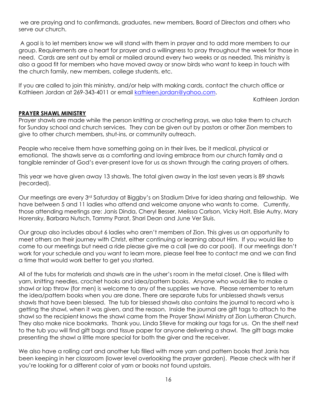we are praying and to confirmands, graduates, new members, Board of Directors and others who serve our church.

A goal is to let members know we will stand with them in prayer and to add more members to our group. Requirements are a heart for prayer and a willingness to pray throughout the week for those in need. Cards are sent out by email or mailed around every two weeks or as needed. This ministry is also a good fit for members who have moved away or snow birds who want to keep in touch with the church family, new members, college students, etc.

If you are called to join this ministry, and/or help with making cards, contact the church office or Kathleen Jordan at 269-343-4011 or email [kathleen.jordan@yahoo.com.](mailto:kathleen.jordan@yahoo.com)

Kathleen Jordan

#### **PRAYER SHAWL MINISTRY**

Prayer shawls are made while the person knitting or crocheting prays, we also take them to church for Sunday school and church services. They can be given out by pastors or other Zion members to give to other church members, shut-ins, or community outreach.

People who receive them have something going on in their lives, be it medical, physical or emotional. The shawls serve as a comforting and loving embrace from our church family and a tangible reminder of God's ever-present love for us as shown through the caring prayers of others.

This year we have given away 13 shawls. The total given away in the last seven years is 89 shawls (recorded).

Our meetings are every 3rd Saturday at Biggby's on Stadium Drive for idea sharing and fellowship. We have between 5 and 11 ladies who attend and welcome anyone who wants to come. Currently, those attending meetings are: Janis Dinda, Cheryl Besser, Melissa Carlson, Vicky Holt, Elsie Autry, Mary Horensky, Barbara Nutsch, Tammy Parat, Shari Dean and June Ver Sluis.

Our group also includes about 6 ladies who aren't members of Zion. This gives us an opportunity to meet others on their journey with Christ, either continuing or learning about Him. If you would like to come to our meetings but need a ride please give me a call (we do car pool). If our meetings don't work for your schedule and you want to learn more, please feel free to contact me and we can find a time that would work better to get you started.

All of the tubs for materials and shawls are in the usher's room in the metal closet. One is filled with yarn, knitting needles, crochet hooks and idea/pattern books. Anyone who would like to make a shawl or lap throw (for men) is welcome to any of the supplies we have. Please remember to return the idea/pattern books when you are done. There are separate tubs for unblessed shawls versus shawls that have been blessed. The tub for blessed shawls also contains the journal to record who is getting the shawl, when it was given, and the reason. Inside the journal are gift tags to attach to the shawl so the recipient knows the shawl came from the Prayer Shawl Ministry at Zion Lutheran Church. They also make nice bookmarks. Thank you, Linda Stieve for making our tags for us. On the shelf next to the tub you will find gift bags and tissue paper for anyone delivering a shawl. The gift bags make presenting the shawl a little more special for both the giver and the receiver.

We also have a rolling cart and another tub filled with more yarn and pattern books that Janis has been keeping in her classroom (lower level overlooking the prayer garden). Please check with her if you're looking for a different color of yarn or books not found upstairs.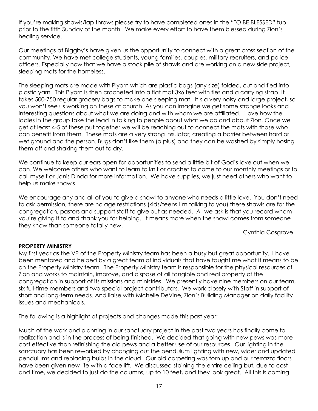If you're making shawls/lap throws please try to have completed ones in the "TO BE BLESSED" tub prior to the fifth Sunday of the month. We make every effort to have them blessed during Zion's healing service.

Our meetings at Biggby's have given us the opportunity to connect with a great cross section of the community. We have met college students, young families, couples, military recruiters, and police officers. Especially now that we have a stock pile of shawls and are working on a new side project, sleeping mats for the homeless.

The sleeping mats are made with Plyarn which are plastic bags (any size) folded, cut and tied into plastic yarn. This Plyarn is then crocheted into a flat mat 3x6 feet with ties and a carrying strap. It takes 500-750 regular grocery bags to make one sleeping mat. It's a very noisy and large project, so you won't see us working on these at church. As you can imagine we get some strange looks and interesting questions about what we are doing and with whom we are affiliated. I love how the ladies in the group take the lead in talking to people about what we do and about Zion. Once we get at least 4-5 of these put together we will be reaching out to connect the mats with those who can benefit from them. These mats are a very strong insulator; creating a barrier between hard or wet ground and the person. Bugs don't like them (a plus) and they can be washed by simply hosing them off and shaking them out to dry.

We continue to keep our ears open for opportunities to send a little bit of God's love out when we can. We welcome others who want to learn to knit or crochet to come to our monthly meetings or to call myself or Janis Dinda for more information. We have supplies, we just need others who want to help us make shawls.

We encourage any and all of you to give a shawl to anyone who needs a little love. You don't need to ask permission, there are no age restrictions (kids/teens I'm talking to you) these shawls are for the congregation, pastors and support staff to give out as needed. All we ask is that you record whom you're giving it to and thank you for helping. It means more when the shawl comes from someone they know than someone totally new.

Cynthia Cosgrove

#### **PROPERTY MINISTRY**

My first year as the VP of the Property Ministry team has been a busy but great opportunity. I have been mentored and helped by a great team of individuals that have taught me what it means to be on the Property Ministry team. The Property Ministry team is responsible for the physical resources of Zion and works to maintain, improve, and dispose of all tangible and real property of the congregation in support of its missions and ministries. We presently have nine members on our team, six full-time members and two special project contributors. We work closely with Staff in support of short and long-term needs. And liaise with Michelle DeVine, Zion's Building Manager on daily facility issues and mechanicals.

The following is a highlight of projects and changes made this past year:

Much of the work and planning in our sanctuary project in the past two years has finally come to realization and is in the process of being finished. We decided that going with new pews was more cost effective than refinishing the old pews and a better use of our resources. Our lighting in the sanctuary has been reworked by changing out the pendulum lighting with new, wider and updated pendulums and replacing bulbs in the cloud. Our old carpeting was torn up and our terrazzo floors have been given new life with a face lift. We discussed staining the entire ceiling but, due to cost and time, we decided to just do the columns, up to 10 feet, and they look great. All this is coming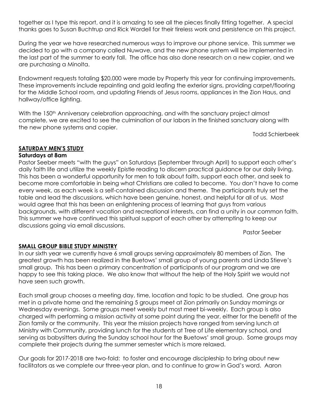together as I type this report, and it is amazing to see all the pieces finally fitting together. A special thanks goes to Susan Buchtrup and Rick Wordell for their tireless work and persistence on this project.

During the year we have researched numerous ways to improve our phone service. This summer we decided to go with a company called Nuwave, and the new phone system will be implemented in the last part of the summer to early fall. The office has also done research on a new copier, and we are purchasing a Minolta.

Endowment requests totaling \$20,000 were made by Property this year for continuing improvements. These improvements include repainting and gold leafing the exterior signs, providing carpet/flooring for the Middle School room, and updating Friends of Jesus rooms, appliances in the Zion Haus, and hallway/office lighting.

With the 150<sup>th</sup> Anniversary celebration approaching, and with the sanctuary project almost complete, we are excited to see the culmination of our labors in the finished sanctuary along with the new phone systems and copier.

Todd Schierbeek

# **SATURDAY MEN'S STUDY**

#### **Saturdays at 8am**

Pastor Seeber meets "with the guys" on Saturdays (September through April) to support each other's daily faith life and utilize the weekly Epistle reading to discern practical guidance for our daily living. This has been a wonderful opportunity for men to talk about faith, support each other, and seek to become more comfortable in being what Christians are called to become. You don't have to come every week, as each week is a self-contained discussion and theme. The participants truly set the table and lead the discussions, which have been genuine, honest, and helpful for all of us. Most would agree that this has been an enlightening process of learning that guys from various backgrounds, with different vocation and recreational interests, can find a unity in our common faith. This summer we have continued this spiritual support of each other by attempting to keep our discussions going via email discussions.

Pastor Seeber

#### **SMALL GROUP BIBLE STUDY MINISTRY**

In our sixth year we currently have 6 small groups serving approximately 80 members of Zion. The greatest growth has been realized in the Buetows' small group of young parents and Linda Stieve's small group. This has been a primary concentration of participants of our program and we are happy to see this taking place. We also know that without the help of the Holy Spirit we would not have seen such growth.

Each small group chooses a meeting day, time, location and topic to be studied. One group has met in a private home and the remaining 5 groups meet at Zion primarily on Sunday mornings or Wednesday evenings. Some groups meet weekly but most meet bi-weekly. Each group is also charged with performing a mission activity at some point during the year, either for the benefit of the Zion family or the community. This year the mission projects have ranged from serving lunch at Ministry with Community, providing lunch for the students at Tree of Life elementary school, and serving as babysitters during the Sunday school hour for the Buetows' small group. Some groups may complete their projects during the summer semester which is more relaxed.

Our goals for 2017-2018 are two-fold: to foster and encourage discipleship to bring about new facilitators as we complete our three-year plan, and to continue to grow in God's word. Aaron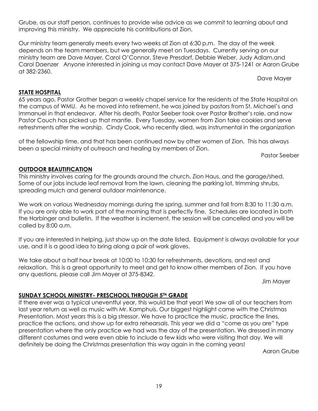Grube, as our staff person, continues to provide wise advice as we commit to learning about and improving this ministry. We appreciate his contributions at Zion.

Our ministry team generally meets every two weeks at Zion at 6:30 p.m. The day of the week depends on the team members, but we generally meet on Tuesdays. Currently serving on our ministry team are Dave Mayer, Carol O'Connor, Steve Presdorf, Debbie Weber, Judy Adlam,and Carol Daenzer Anyone interested in joining us may contact Dave Mayer at 375-1241 or Aaron Grube at 382-2360.

Dave Mayer

#### **STATE HOSPITAL**

65 years ago, Pastor Grother began a weekly chapel service for the residents of the State Hospital on the campus of WMU. As he moved into retirement, he was joined by pastors from St. Michael's and Immanuel in that endeavor. After his death, Pastor Seeber took over Pastor Brother's role, and now Pastor Couch has picked up that mantle. Every Tuesday, women from Zion take cookies and serve refreshments after the worship. Cindy Cook, who recently died, was instrumental in the organization

of the fellowship time, and that has been continued now by other women of Zion. This has always been a special ministry of outreach and healing by members of Zion.

Pastor Seeber

#### **OUTDOOR BEAUTIFICATION**

This ministry involves caring for the grounds around the church, Zion Haus, and the garage/shed. Some of our jobs include leaf removal from the lawn, cleaning the parking lot, trimming shrubs, spreading mulch and general outdoor maintenance.

We work on various Wednesday mornings during the spring, summer and fall from 8:30 to 11:30 a.m. If you are only able to work part of the morning that is perfectly fine. Schedules are located in both the Harbinger and bulletin. If the weather is inclement, the session will be cancelled and you will be called by 8:00 a.m.

If you are interested in helping, just show up on the date listed. Equipment is always available for your use, and it is a good idea to bring along a pair of work gloves.

We take about a half hour break at 10:00 to 10:30 for refreshments, devotions, and rest and relaxation. This is a great opportunity to meet and get to know other members of Zion. If you have any questions, please call Jim Mayer at 375-8342.

Jim Mayer

#### **SUNDAY SCHOOL MINISTRY- PRESCHOOL THROUGH 5TH GRADE**

If there ever was a typical uneventful year, this would be that year! We saw all of our teachers from last year return as well as music with Mr. Kamphuis. Our biggest highlight came with the Christmas Presentation. Most years this is a big stressor. We have to practice the music, practice the lines, practice the actions, and show up for extra rehearsals. This year we did a "come as you are" type presentation where the only practice we had was the day of the presentation. We dressed in many different costumes and were even able to include a few kids who were visiting that day. We will definitely be doing the Christmas presentation this way again in the coming years!

Aaron Grube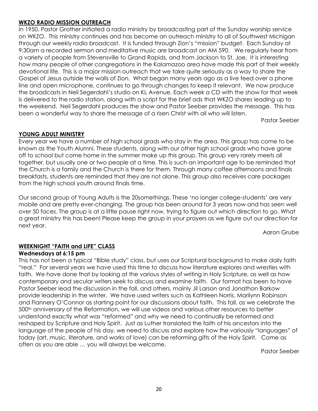#### **WKZO RADIO MISSION OUTREACH**

In 1950, Pastor Grother initiated a radio ministry by broadcasting part of the Sunday worship service on WKZO. This ministry continues and has become an outreach ministry to all of Southwest Michigan through our weekly radio broadcast. It is funded through Zion's "mission" budget. Each Sunday at 9:30am a recorded sermon and meditative music are broadcast on AM 590. We regularly hear from a variety of people from Stevensville to Grand Rapids, and from Jackson to St. Joe. It is interesting how many people of other congregations in the Kalamazoo area have made this part of their weekly devotional life. This is a major mission outreach that we take quite seriously as a way to share the Gospel of Jesus outside the walls of Zion. What began many years ago as a live feed over a phone line and open microphone, continues to go through changes to keep it relevant. We now produce the broadcasts in Neil Segerdahl's studio on KL Avenue. Each week a CD with the show for that week is delivered to the radio station, along with a script for the brief ads that WKZO shares leading up to the weekend. Neil Segerdahl produces the show and Pastor Seeber provides the message. This has been a wonderful way to share the message of a risen Christ with all who will listen.

Pastor Seeber

#### **YOUNG ADULT MINISTRY**

Every year we have a number of high school grads who stay in the area. This group has come to be known as the Youth Alumni. These students, along with our other high school grads who have gone off to school but come home in the summer make up this group. This group very rarely meets all together, but usually one or two people at a time. This is such an important age to be reminded that the Church is a family and the Church is there for them. Through many coffee afternoons and finals breakfasts, students are reminded that they are not alone. This group also receives care packages from the high school youth around finals time.

Our second group of Young Adults is the 20somethings. These 'no longer college-students' are very mobile and are pretty ever-changing. The group has been around for 3 years now and has seen well over 50 faces. The group is at a little pause right now, trying to figure out which direction to go. What a great ministry this has been! Please keep the group in your prayers as we figure out our direction for next year.

Aaron Grube

#### **WEEKNIGHT "FAITH and LIFE" CLASS**

#### **Wednesdays at 6:15 pm**

This has not been a typical "Bible study" class, but uses our Scriptural background to make daily faith "real." For several years we have used this time to discuss how literature explores and wrestles with faith. We have done that by looking at the various styles of writing in Holy Scripture, as well as how contemporary and secular writers seek to discuss and examine faith. Our format has been to have Pastor Seeber lead the discussion in the fall, and others, mainly Jil Larson and Jonathon Barkow provide leadership in the winter. We have used writers such as Kathleen Norris, Marilynn Robinson and Flannery O'Connor as starting point for our discussions about faith. This fall, as we celebrate the 500<sup>th</sup> anniversary of the Reformation, we will use videos and various other resources to better understand exactly what was "reformed" and why we need to continually be reformed and reshaped by Scripture and Holy Spirit. Just as Luther translated the faith of his ancestors into the language of the people of his day, we need to discuss and explore how the variously "languages" of today (art, music, literature, and works of love) can be reforming gifts of the Holy Spirit. Come as often as you are able … you will always be welcome.

Pastor Seeber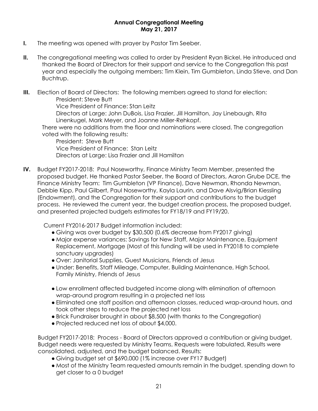#### **Annual Congregational Meeting May 21, 2017**

- **I.** The meeting was opened with prayer by Pastor Tim Seeber.
- **II.** The congregational meeting was called to order by President Ryan Bickel. He introduced and thanked the Board of Directors for their support and service to the Congregation this past year and especially the outgoing members: Tim Klein, Tim Gumbleton, Linda Stieve, and Dan Buchtrup.
- **III.** Election of Board of Directors: The following members agreed to stand for election: President: Steve Butt

Vice President of Finance: Stan Leitz

Directors at Large: John DuBois, Lisa Frazier, Jill Hamilton, Jay Linebaugh, Rita Linenkugel, Mark Meyer, and Joanne Miller-Rehkopf.

There were no additions from the floor and nominations were closed. The congregation voted with the following results:

President: Steve Butt Vice President of Finance: Stan Leitz Directors at Large: Lisa Frazier and Jill Hamilton

**IV.** Budget FY2017-2018: Paul Noseworthy, Finance Ministry Team Member, presented the proposed budget. He thanked Pastor Seeber, the Board of Directors, Aaron Grube DCE, the Finance Ministry Team: Tim Gumbleton (VP Finance), Dave Newman, Rhonda Newman, Debbie Kipp, Paul Gilbert, Paul Noseworthy, Kayla Laurin, and Dave Alsvig/Brian Kiessling (Endowment), and the Congregation for their support and contributions to the budget process. He reviewed the current year, the budget creation process, the proposed budget, and presented projected budgets estimates for FY18/19 and FY19/20.

Current FY2016-2017 Budget information included:

- Giving was over budget by \$30,500 (0.6% decrease from FY2017 giving)
- Major expense variances: Savings for New Staff, Major Maintenance, Equipment Replacement, Mortgage (Most of this funding will be used in FY2018 to complete sanctuary upgrades)
- Over: Janitorial Supplies, Guest Musicians, Friends of Jesus
- Under: Benefits, Staff Mileage, Computer, Building Maintenance, High School, Family Ministry, Friends of Jesus
- Low enrollment affected budgeted income along with elimination of afternoon wrap-around program resulting in a projected net loss
- Eliminated one staff position and afternoon classes, reduced wrap-around hours, and took other steps to reduce the projected net loss
- Brick Fundraiser brought in about \$8,500 (with thanks to the Congregation)
- Projected reduced net loss of about \$4,000.

Budget FY2017-2018: Process - Board of Directors approved a contribution or giving budget, Budget needs were requested by Ministry Teams, Requests were tabulated, Results were consolidated, adjusted, and the budget balanced. Results:

- Giving budget set at \$690,000 (1% increase over FY17 Budget)
- Most of the Ministry Team requested amounts remain in the budget, spending down to get closer to a 0 budget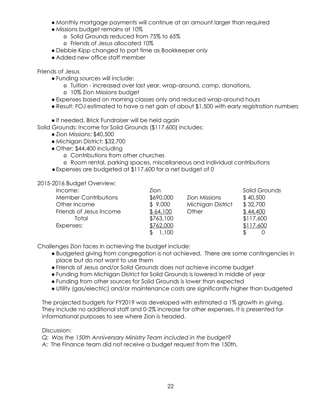- Monthly mortgage payments will continue at an amount larger than required
- Missions budget remains at 10%
	- o Solid Grounds reduced from 75% to 65%
	- o Friends of Jesus allocated 10%
- Debbie Kipp changed to part time as Bookkeeper only
- Added new office staff member

Friends of Jesus

- Funding sources will include:
	- o Tuition increased over last year, wrap-around, camp, donations,
	- o 10% Zion Missions budget
- Expenses based on morning classes only and reduced wrap-around hours
- Result: FOJ estimated to have a net gain of about \$1,500 with early registration numbers

● If needed, Brick Fundraiser will be held again

Solid Grounds: Income for Solid Grounds (\$117,600) includes:

- Zion Missions: \$40,500
- Michigan District: \$32,700
- Other: \$44,400 including
	- o Contributions from other churches
	- o Room rental, parking spaces, miscellaneous and individual contributions
- ●Expenses are budgeted at \$117,600 for a net budget of 0

#### 2015-2016 Budget Overview:

| Income:                     | Zion      |                      | Solid Grounds |
|-----------------------------|-----------|----------------------|---------------|
| <b>Member Contributions</b> | \$690,000 | <b>Zion Missions</b> | \$40,500      |
| Other Income                | \$9,000   | Michigan District    | \$32,700      |
| Friends of Jesus Income     | \$64,100  | Other                | \$44,400      |
| Total                       | \$763,100 |                      | \$117,600     |
| Expenses:                   | \$762,000 |                      | \$117,600     |
|                             | 1,100     |                      |               |

Challenges Zion faces in achieving the budget include:

- Budgeted giving from congregation is not achieved. There are some contingencies in place but do not want to use them
- Friends of Jesus and/or Solid Grounds does not achieve income budget
- Funding from Michigan District for Solid Grounds is lowered in middle of year
- Funding from other sources for Solid Grounds is lower than expected
- Utility (gas/electric) and/or maintenance costs are significantly higher than budgeted

The projected budgets for FY2019 was developed with estimated a 1% growth in giving. They include no additional staff and 0-2% increase for other expenses. It is presented for informational purposes to see where Zion is headed.

Discussion:

*Q: Was the 150th Anniversary Ministry Team included in the budget?*

A: The Finance team did not receive a budget request from the 150th.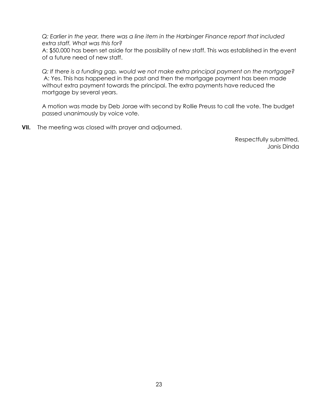*Q: Earlier in the year, there was a line item in the Harbinger Finance report that included extra staff. What was this for?*

A: \$50,000 has been set aside for the possibility of new staff. This was established in the event of a future need of new staff.

*Q: If there is a funding gap, would we not make extra principal payment on the mortgage?* A: Yes. This has happened in the past and then the mortgage payment has been made without extra payment towards the principal. The extra payments have reduced the mortgage by several years.

A motion was made by Deb Jorae with second by Rollie Preuss to call the vote. The budget passed unanimously by voice vote.

**VII.** The meeting was closed with prayer and adjourned.

 Respectfully submitted, Janis Dinda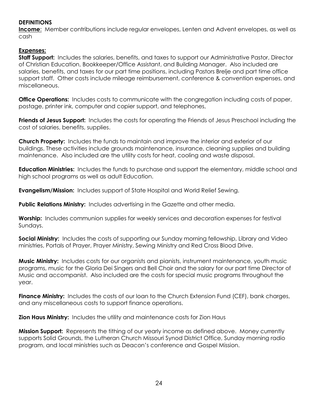#### **DEFINITIONS**

**Income**: Member contributions include regular envelopes, Lenten and Advent envelopes, as well as cash

# **Expenses:**

**Staff Support:** Includes the salaries, benefits, and taxes to support our Administrative Pastor, Director of Christian Education, Bookkeeper/Office Assistant, and Building Manager. Also included are salaries, benefits, and taxes for our part time positions, including Pastors Brelje and part time office support staff. Other costs include mileage reimbursement, conference & convention expenses, and miscellaneous.

**Office Operations:** Includes costs to communicate with the congregation including costs of paper, postage, printer ink, computer and copier support, and telephones,

**Friends of Jesus Support:** Includes the costs for operating the Friends of Jesus Preschool including the cost of salaries, benefits, supplies.

**Church Property:** Includes the funds to maintain and improve the interior and exterior of our buildings. These activities include grounds maintenance, insurance, cleaning supplies and building maintenance. Also included are the utility costs for heat, cooling and waste disposal.

**Education Ministries:** Includes the funds to purchase and support the elementary, middle school and high school programs as well as adult Education.

**Evangelism/Mission:** Includes support of State Hospital and World Relief Sewing.

**Public Relations Ministry:** Includes advertising in the Gazette and other media.

**Worship:** Includes communion supplies for weekly services and decoration expenses for festival Sundays.

**Social Ministry:** Includes the costs of supporting our Sunday morning fellowship, Library and Video ministries, Portals of Prayer, Prayer Ministry, Sewing Ministry and Red Cross Blood Drive.

**Music Ministry:** Includes costs for our organists and pianists, instrument maintenance, youth music programs, music for the Gloria Dei Singers and Bell Choir and the salary for our part time Director of Music and accompanist. Also included are the costs for special music programs throughout the year.

**Finance Ministry:** Includes the costs of our loan to the Church Extension Fund (CEF), bank charges, and any miscellaneous costs to support finance operations.

**Zion Haus Ministry:** Includes the utility and maintenance costs for Zion Haus

**Mission Support:** Represents the tithing of our yearly income as defined above. Money currently supports Solid Grounds, the Lutheran Church Missouri Synod District Office, Sunday morning radio program, and local ministries such as Deacon's conference and Gospel Mission.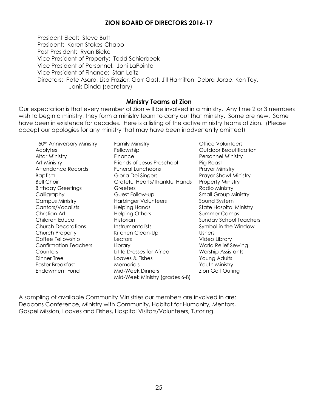# **ZION BOARD OF DIRECTORS 2016-17**

President Elect: Steve Butt President: Karen Stokes-Chapo Past President: Ryan Bickel Vice President of Property: Todd Schierbeek Vice President of Personnel: Joni LaPointe Vice President of Finance: Stan Leitz Directors: Pete Asaro, Lisa Frazier, Garr Gast, Jill Hamilton, Debra Jorae, Ken Toy, Janis Dinda (secretary)

#### **Ministry Teams at Zion**

Our expectation is that every member of Zion will be involved in a ministry. Any time 2 or 3 members wish to begin a ministry, they form a ministry team to carry out that ministry. Some are new. Some have been in existence for decades. Here is a listing of the active ministry teams at Zion. (Please accept our apologies for any ministry that may have been inadvertently omitted!)

150th Anniversary Ministry Acolytes Altar Ministry Art Ministry Attendance Records **Baptism** Bell Choir Birthday Greetings Calligraphy Campus Ministry Cantors/Vocalists Christian Art Children Educa Church Decorations Church Property Coffee Fellowship Confirmation Teachers **Counters** Dinner Tree Easter Breakfast Endowment Fund

Family Ministry Fellowship Finance Friends of Jesus Preschool Funeral Luncheons Gloria Dei Singers Grateful Hearts/Thankful Hands **Greeters** Guest Follow-up Harbinger Volunteers Helping Hands Helping Others Historian **Instrumentalists** Kitchen Clean-Up **Lectors** Library Little Dresses for Africa Loaves & Fishes **Memorials** Mid-Week Dinners Mid-Week Ministry (grades 6-8)

Office Volunteers Outdoor Beautification Personnel Ministry Pig Roast Prayer Ministry Prayer Shawl Ministry Property Ministry Radio Ministry Small Group Ministry Sound System State Hospital Ministry Summer Camps Sunday School Teachers Symbol in the Window **Ushers** Video Library World Relief Sewing Worship Assistants Young Adults Youth Ministry Zion Golf Outing

A sampling of available Community Ministries our members are involved in are: Deacons Conference, Ministry with Community, Habitat for Humanity, Mentors, Gospel Mission, Loaves and Fishes, Hospital Visitors/Volunteers, Tutoring.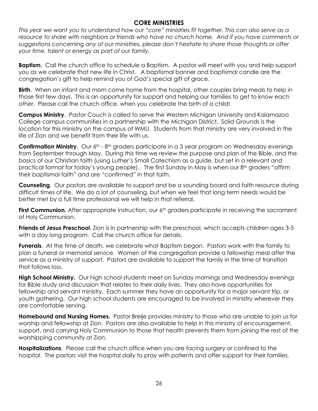# **CORE MINISTRIES**

*This year we want you to understand how our "core" ministries fit together. This can also serve as a*  resource to share with neighbors or friends who have no church home. And if you have comments or *suggestions concerning any of our ministries, please don't hesitate to share those thoughts or offer your time, talent or energy as part of our family.* 

**Baptism**. Call the church office to schedule a Baptism. A pastor will meet with you and help support you as we celebrate that new life in Christ. A baptismal banner and baptismal candle are the congregation's gift to help remind you of God's special gift of grace.

**Birth**. When an infant and mom come home from the hospital, other couples bring meals to help in those first few days. This is an opportunity for support and helping our families to get to know each other. Please call the church office, when you celebrate the birth of a child!

**Campus Ministry**. Pastor Couch is called to serve the Western Michigan University and Kalamazoo College campus communities in a partnership with the Michigan District. Solid Grounds is the location for this ministry on the campus of WMU. Students from that ministry are very involved in the life of Zion and we benefit from their life with us.

**Confirmation Ministry.** Our 6<sup>th</sup> - 8<sup>th</sup> graders participate in a 3 year program on Wednesday evenings from September through May. During this time we review the purpose and plan of the Bible, and the basics of our Christian faith (using Luther's Small Catechism as a guide, but set in a relevant and practical format for today's young people). The first Sunday in May is when our 8<sup>th</sup> graders "affirm their baptismal faith" and are "confirmed" in that faith.

**Counseling**. Our pastors are available to support and be a sounding board and faith resource during difficult times of life. We do a lot of counseling, but when we feel that long term needs would be better met by a full time professional we will help in that referral.

**First Communion.** After appropriate instruction, our 6<sup>th</sup> graders participate in receiving the sacrament of Holy Communion.

**Friends of Jesus Preschool**. Zion is in partnership with the preschool, which accepts children ages 3-5 with a day long program. Call the church office for details.

**Funerals**. At the time of death, we celebrate what Baptism began. Pastors work with the family to plan a funeral or memorial service. Women of the congregation provide a fellowship meal after the service as a ministry of support. Pastors are available to support the family in the time of transition that follows loss.

**High School Ministry.** Our high school students meet on Sunday mornings and Wednesday evenings for Bible study and discussion that relates to their daily lives. They also have opportunities for fellowship and servant ministry. Each summer they have an opportunity for a major servant trip, or youth gathering. Our high school students are encouraged to be involved in ministry wherever they are comfortable serving.

**Homebound and Nursing Homes.** Pastor Brelje provides ministry to those who are unable to join us for worship and fellowship at Zion. Pastors are also available to help in this ministry of encouragement, support, and carrying Holy Communion to those that health prevents them from joining the rest of the worshipping community at Zion.

**Hospitalizations**. Please call the church office when you are facing surgery or confined to the hospital. The pastors visit the hospital daily to pray with patients and offer support for their families.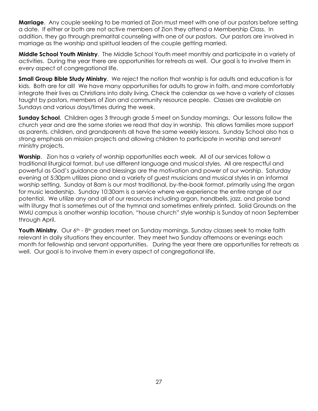**Marriage**. Any couple seeking to be married at Zion must meet with one of our pastors before setting a date. If either or both are not active members of Zion they attend a Membership Class. In addition, they go through premarital counseling with one of our pastors. Our pastors are involved in marriage as the worship and spiritual leaders of the couple getting married.

**Middle School Youth Ministry**. The Middle School Youth meet monthly and participate in a variety of activities. During the year there are opportunities for retreats as well. Our goal is to involve them in every aspect of congregational life.

**Small Group Bible Study Ministry.** We reject the notion that worship is for adults and education is for kids. Both are for all! We have many opportunities for adults to grow in faith, and more comfortably integrate their lives as Christians into daily living. Check the calendar as we have a variety of classes taught by pastors, members of Zion and community resource people. Classes are available on Sundays and various days/times during the week.

**Sunday School**. Children ages 3 through grade 5 meet on Sunday mornings. Our lessons follow the church year and are the same stories we read that day in worship. This allows families more support as parents, children, and grandparents all have the same weekly lessons. Sunday School also has a strong emphasis on mission projects and allowing children to participate in worship and servant ministry projects.

**Worship**. Zion has a variety of worship opportunities each week. All of our services follow a traditional liturgical format, but use different language and musical styles. All are respectful and powerful as God's guidance and blessings are the motivation and power of our worship. Saturday evening at 5:30pm utilizes piano and a variety of guest musicians and musical styles in an informal worship setting. Sunday at 8am is our most traditional, by-the-book format, primarily using the organ for music leadership. Sunday 10:30am is a service where we experience the entire range of our potential. We utilize any and all of our resources including organ, handbells, jazz, and praise band with liturgy that is sometimes out of the hymnal and sometimes entirely printed. Solid Grounds on the WMU campus is another worship location, "house church" style worship is Sunday at noon September through April.

**Youth Ministry**. Our 6<sup>th</sup> - 8<sup>th</sup> graders meet on Sunday mornings. Sunday classes seek to make faith relevant in daily situations they encounter. They meet two Sunday afternoons or evenings each month for fellowship and servant opportunities. During the year there are opportunities for retreats as well. Our goal is to involve them in every aspect of congregational life.